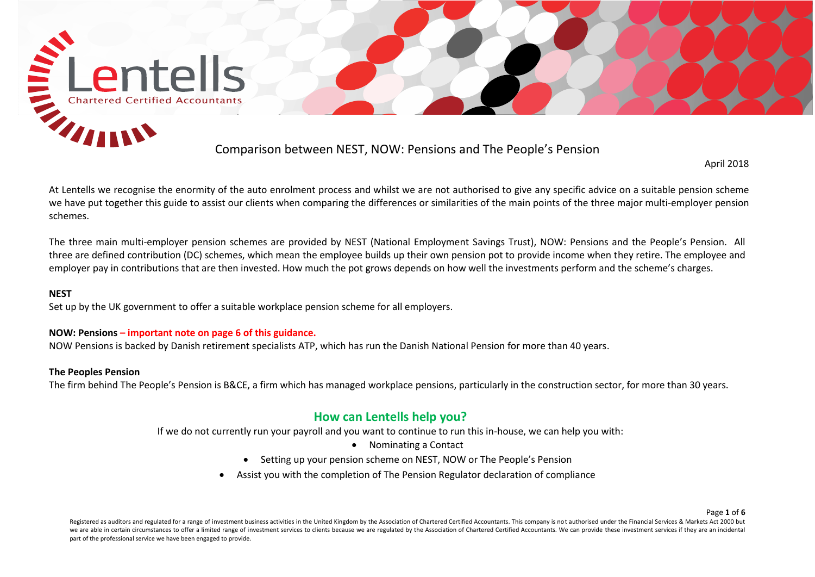

April 2018

At Lentells we recognise the enormity of the auto enrolment process and whilst we are not authorised to give any specific advice on a suitable pension scheme we have put together this guide to assist our clients when comparing the differences or similarities of the main points of the three major multi-employer pension schemes.

The three main multi-employer pension schemes are provided by NEST (National Employment Savings Trust), NOW: Pensions and the People's Pension. All three are defined contribution (DC) schemes, which mean the employee builds up their own pension pot to provide income when they retire. The employee and employer pay in contributions that are then invested. How much the pot grows depends on how well the investments perform and the scheme's charges.

## **NEST**

Set up by the UK government to offer a suitable workplace pension scheme for all employers.

#### **NOW: Pensions – important note on page 6 of this guidance.**

NOW Pensions is backed by Danish retirement specialists ATP, which has run the Danish National Pension for more than 40 years.

### **The Peoples Pension**

The firm behind The People's Pension is B&CE, a firm which has managed workplace pensions, particularly in the construction sector, for more than 30 years.

# **How can Lentells help you?**

If we do not currently run your payroll and you want to continue to run this in-house, we can help you with:

- Nominating a Contact
- Setting up your pension scheme on NEST, NOW or The People's Pension
- Assist you with the completion of The Pension Regulator declaration of compliance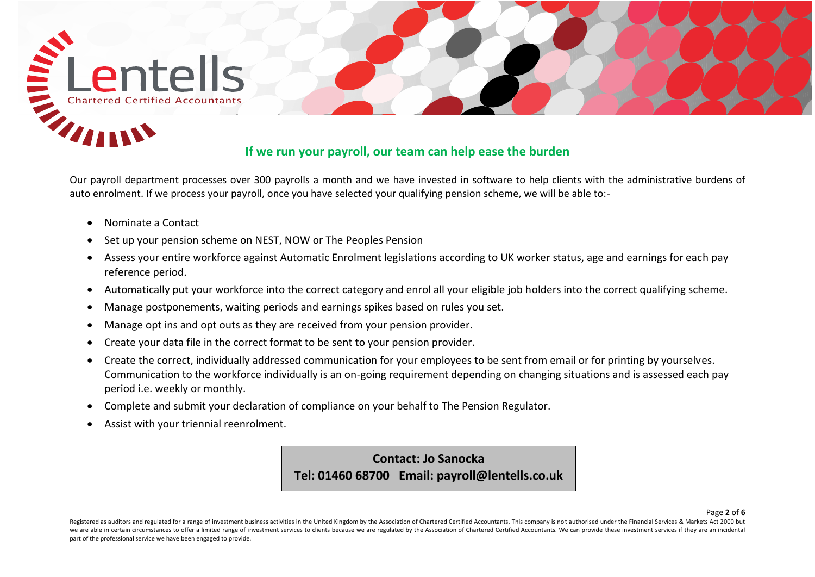

Our payroll department processes over 300 payrolls a month and we have invested in software to help clients with the administrative burdens of auto enrolment. If we process your payroll, once you have selected your qualifying pension scheme, we will be able to:-

- Nominate a Contact
- Set up your pension scheme on NEST, NOW or The Peoples Pension
- Assess your entire workforce against Automatic Enrolment legislations according to UK worker status, age and earnings for each pay reference period.
- Automatically put your workforce into the correct category and enrol all your eligible job holders into the correct qualifying scheme.
- Manage postponements, waiting periods and earnings spikes based on rules you set.
- Manage opt ins and opt outs as they are received from your pension provider.
- Create your data file in the correct format to be sent to your pension provider.
- Create the correct, individually addressed communication for your employees to be sent from email or for printing by yourselves. Communication to the workforce individually is an on-going requirement depending on changing situations and is assessed each pay period i.e. weekly or monthly.
- Complete and submit your declaration of compliance on your behalf to The Pension Regulator.
- Assist with your triennial reenrolment.

**Contact: Jo Sanocka Tel: 01460 68700 Email: payroll@lentells.co.uk**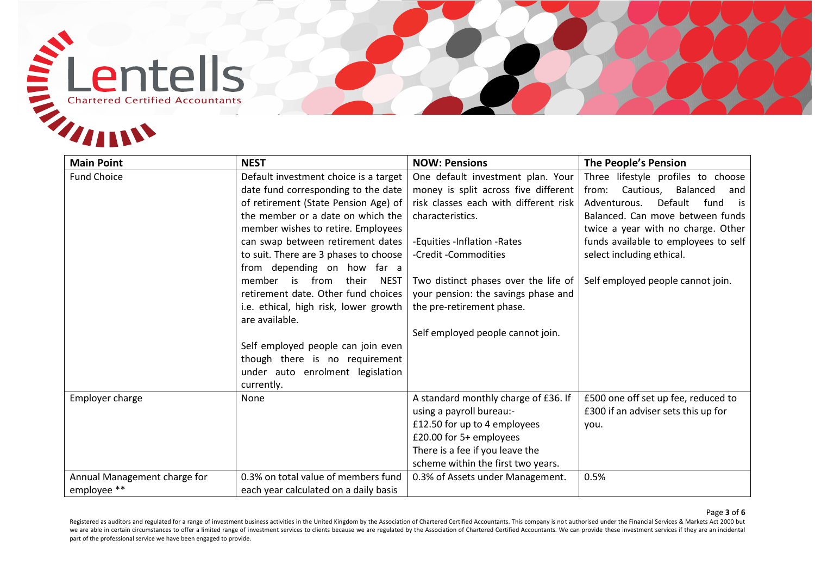

| <b>Main Point</b>            | <b>NEST</b>                               | <b>NOW: Pensions</b>                  | <b>The People's Pension</b>           |
|------------------------------|-------------------------------------------|---------------------------------------|---------------------------------------|
| <b>Fund Choice</b>           | Default investment choice is a target     | One default investment plan. Your     | Three lifestyle profiles to choose    |
|                              | date fund corresponding to the date       | money is split across five different  | from:<br>Cautious,<br>Balanced<br>and |
|                              | of retirement (State Pension Age) of      | risk classes each with different risk | Default<br>Adventurous.<br>fund<br>is |
|                              | the member or a date on which the         | characteristics.                      | Balanced. Can move between funds      |
|                              | member wishes to retire. Employees        |                                       | twice a year with no charge. Other    |
|                              | can swap between retirement dates         | -Equities -Inflation -Rates           | funds available to employees to self  |
|                              | to suit. There are 3 phases to choose     | -Credit -Commodities                  | select including ethical.             |
|                              | from depending on how far a               |                                       |                                       |
|                              | member is<br>from<br>their<br><b>NEST</b> | Two distinct phases over the life of  | Self employed people cannot join.     |
|                              | retirement date. Other fund choices       | your pension: the savings phase and   |                                       |
|                              | i.e. ethical, high risk, lower growth     | the pre-retirement phase.             |                                       |
|                              | are available.                            |                                       |                                       |
|                              | Self employed people can join even        | Self employed people cannot join.     |                                       |
|                              | though there is no requirement            |                                       |                                       |
|                              | under auto enrolment legislation          |                                       |                                       |
|                              | currently.                                |                                       |                                       |
| Employer charge              | None                                      | A standard monthly charge of £36. If  | £500 one off set up fee, reduced to   |
|                              |                                           | using a payroll bureau:-              | £300 if an adviser sets this up for   |
|                              |                                           | £12.50 for up to 4 employees          | you.                                  |
|                              |                                           | £20.00 for 5+ employees               |                                       |
|                              |                                           | There is a fee if you leave the       |                                       |
|                              |                                           | scheme within the first two years.    |                                       |
| Annual Management charge for | 0.3% on total value of members fund       | 0.3% of Assets under Management.      | 0.5%                                  |
| employee **                  | each year calculated on a daily basis     |                                       |                                       |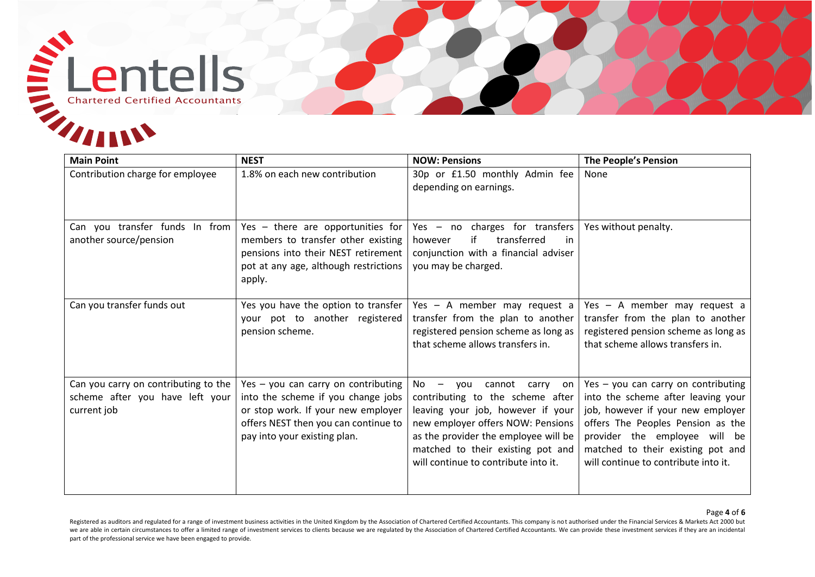

| <b>Main Point</b>                                                                      | <b>NEST</b>                                                                                                                                                                             | <b>NOW: Pensions</b>                                                                                                                                                                                                                                                      | <b>The People's Pension</b>                                                                                                                                                                                                                                       |
|----------------------------------------------------------------------------------------|-----------------------------------------------------------------------------------------------------------------------------------------------------------------------------------------|---------------------------------------------------------------------------------------------------------------------------------------------------------------------------------------------------------------------------------------------------------------------------|-------------------------------------------------------------------------------------------------------------------------------------------------------------------------------------------------------------------------------------------------------------------|
| Contribution charge for employee                                                       | 1.8% on each new contribution                                                                                                                                                           | 30p or £1.50 monthly Admin fee<br>depending on earnings.                                                                                                                                                                                                                  | None                                                                                                                                                                                                                                                              |
| Can you transfer funds In from<br>another source/pension                               | Yes - there are opportunities for<br>members to transfer other existing<br>pensions into their NEST retirement<br>pot at any age, although restrictions<br>apply.                       | Yes - no charges for transfers<br>if<br>transferred<br>however<br>in<br>conjunction with a financial adviser<br>you may be charged.                                                                                                                                       | Yes without penalty.                                                                                                                                                                                                                                              |
| Can you transfer funds out                                                             | Yes you have the option to transfer<br>your pot to another registered<br>pension scheme.                                                                                                | Yes - A member may request a<br>transfer from the plan to another<br>registered pension scheme as long as<br>that scheme allows transfers in.                                                                                                                             | Yes - A member may request a<br>transfer from the plan to another<br>registered pension scheme as long as<br>that scheme allows transfers in.                                                                                                                     |
| Can you carry on contributing to the<br>scheme after you have left your<br>current job | Yes - you can carry on contributing<br>into the scheme if you change jobs<br>or stop work. If your new employer<br>offers NEST then you can continue to<br>pay into your existing plan. | $No -$<br>cannot<br>vou<br>carry<br>on<br>contributing to the scheme after<br>leaving your job, however if your<br>new employer offers NOW: Pensions<br>as the provider the employee will be<br>matched to their existing pot and<br>will continue to contribute into it. | Yes - you can carry on contributing<br>into the scheme after leaving your<br>job, however if your new employer<br>offers The Peoples Pension as the<br>provider the employee will be<br>matched to their existing pot and<br>will continue to contribute into it. |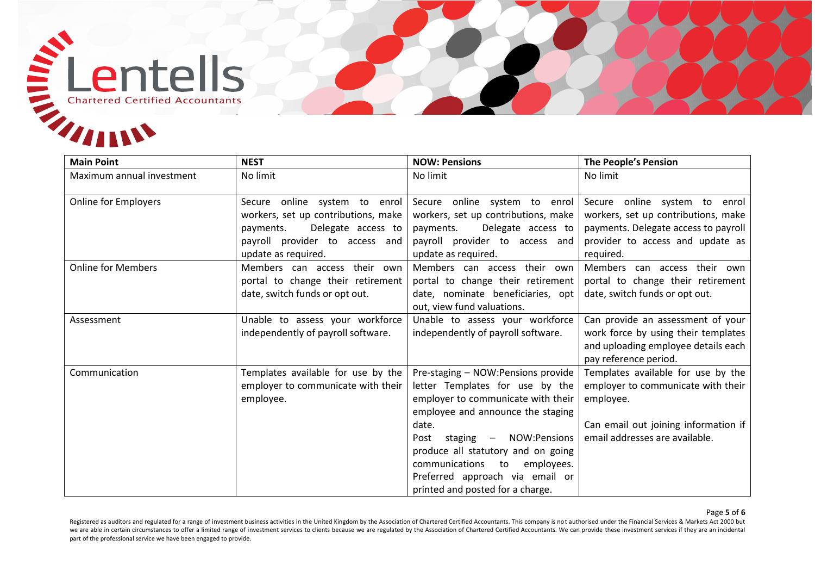

| <b>Main Point</b>           | <b>NEST</b>                                                                                                                                                      | <b>NOW: Pensions</b>                                                                                                                                                                                                                                                                                                                        | <b>The People's Pension</b>                                                                                                                                     |
|-----------------------------|------------------------------------------------------------------------------------------------------------------------------------------------------------------|---------------------------------------------------------------------------------------------------------------------------------------------------------------------------------------------------------------------------------------------------------------------------------------------------------------------------------------------|-----------------------------------------------------------------------------------------------------------------------------------------------------------------|
| Maximum annual investment   | No limit                                                                                                                                                         | No limit                                                                                                                                                                                                                                                                                                                                    | No limit                                                                                                                                                        |
| <b>Online for Employers</b> | Secure online system to enrol<br>workers, set up contributions, make<br>Delegate access to<br>payments.<br>payroll provider to access and<br>update as required. | Secure online system to enrol<br>workers, set up contributions, make<br>Delegate access to<br>payments.<br>payroll provider to access and<br>update as required.                                                                                                                                                                            | Secure online system to enrol<br>workers, set up contributions, make<br>payments. Delegate access to payroll<br>provider to access and update as<br>required.   |
| <b>Online for Members</b>   | Members can access their own<br>portal to change their retirement<br>date, switch funds or opt out.                                                              | Members can access their own<br>portal to change their retirement<br>date, nominate beneficiaries, opt<br>out, view fund valuations.                                                                                                                                                                                                        | Members can access their own<br>portal to change their retirement<br>date, switch funds or opt out.                                                             |
| Assessment                  | Unable to assess your workforce<br>independently of payroll software.                                                                                            | Unable to assess your workforce<br>independently of payroll software.                                                                                                                                                                                                                                                                       | Can provide an assessment of your<br>work force by using their templates<br>and uploading employee details each<br>pay reference period.                        |
| Communication               | Templates available for use by the<br>employer to communicate with their<br>employee.                                                                            | Pre-staging - NOW:Pensions provide<br>letter Templates for use by the<br>employer to communicate with their<br>employee and announce the staging<br>date.<br>staging - NOW:Pensions<br>Post<br>produce all statutory and on going<br>communications to<br>employees.<br>Preferred approach via email or<br>printed and posted for a charge. | Templates available for use by the<br>employer to communicate with their<br>employee.<br>Can email out joining information if<br>email addresses are available. |

#### Page **5** of **6**